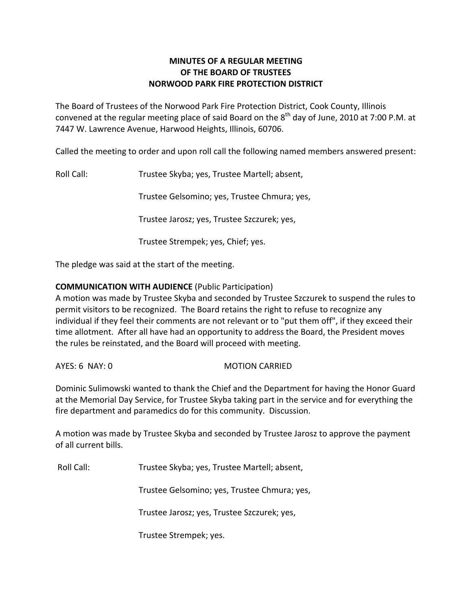# **MINUTES OF A REGULAR MEETING OF THE BOARD OF TRUSTEES NORWOOD PARK FIRE PROTECTION DISTRICT**

The Board of Trustees of the Norwood Park Fire Protection District, Cook County, Illinois convened at the regular meeting place of said Board on the  $8^{\text{th}}$  day of June, 2010 at 7:00 P.M. at 7447 W. Lawrence Avenue, Harwood Heights, Illinois, 60706.

Called the meeting to order and upon roll call the following named members answered present:

Roll Call: Trustee Skyba; yes, Trustee Martell; absent,

Trustee Gelsomino; yes, Trustee Chmura; yes,

Trustee Jarosz; yes, Trustee Szczurek; yes,

Trustee Strempek; yes, Chief; yes.

The pledge was said at the start of the meeting.

### **COMMUNICATION WITH AUDIENCE** (Public Participation)

A motion was made by Trustee Skyba and seconded by Trustee Szczurek to suspend the rules to permit visitors to be recognized. The Board retains the right to refuse to recognize any individual if they feel their comments are not relevant or to "put them off", if they exceed their time allotment. After all have had an opportunity to address the Board, the President moves the rules be reinstated, and the Board will proceed with meeting.

AYES: 6 NAY: 0 MOTION CARRIED

Dominic Sulimowski wanted to thank the Chief and the Department for having the Honor Guard at the Memorial Day Service, for Trustee Skyba taking part in the service and for everything the fire department and paramedics do for this community. Discussion.

A motion was made by Trustee Skyba and seconded by Trustee Jarosz to approve the payment of all current bills.

Roll Call: Trustee Skyba; yes, Trustee Martell; absent,

Trustee Gelsomino; yes, Trustee Chmura; yes,

Trustee Jarosz; yes, Trustee Szczurek; yes,

Trustee Strempek; yes.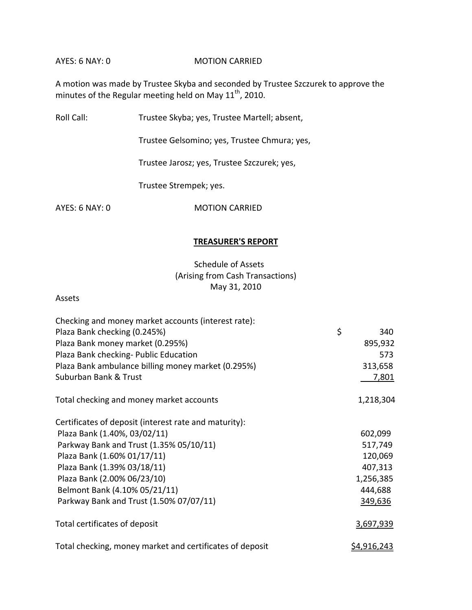#### AYES: 6 NAY: 0 MOTION CARRIED

A motion was made by Trustee Skyba and seconded by Trustee Szczurek to approve the minutes of the Regular meeting held on May 11<sup>th</sup>, 2010.

Roll Call: Trustee Skyba; yes, Trustee Martell; absent,

Trustee Gelsomino; yes, Trustee Chmura; yes,

Trustee Jarosz; yes, Trustee Szczurek; yes,

Trustee Strempek; yes.

AYES: 6 NAY: 0 MOTION CARRIED

### **TREASURER'S REPORT**

# Schedule of Assets (Arising from Cash Transactions) May 31, 2010

### Assets

| Checking and money market accounts (interest rate):      |                    |  |
|----------------------------------------------------------|--------------------|--|
| Plaza Bank checking (0.245%)                             | \$<br>340          |  |
| Plaza Bank money market (0.295%)                         | 895,932            |  |
| Plaza Bank checking- Public Education                    | 573                |  |
| Plaza Bank ambulance billing money market (0.295%)       | 313,658            |  |
| Suburban Bank & Trust                                    | <u>7,801</u>       |  |
| Total checking and money market accounts                 | 1,218,304          |  |
| Certificates of deposit (interest rate and maturity):    |                    |  |
| Plaza Bank (1.40%, 03/02/11)                             | 602,099            |  |
| Parkway Bank and Trust (1.35% 05/10/11)                  | 517,749            |  |
| Plaza Bank (1.60% 01/17/11)                              | 120,069            |  |
| Plaza Bank (1.39% 03/18/11)                              | 407,313            |  |
| Plaza Bank (2.00% 06/23/10)                              | 1,256,385          |  |
| Belmont Bank (4.10% 05/21/11)                            | 444,688            |  |
| Parkway Bank and Trust (1.50% 07/07/11)                  | 349,636            |  |
| Total certificates of deposit                            | 3,697,939          |  |
| Total checking, money market and certificates of deposit | <u>\$4,916,243</u> |  |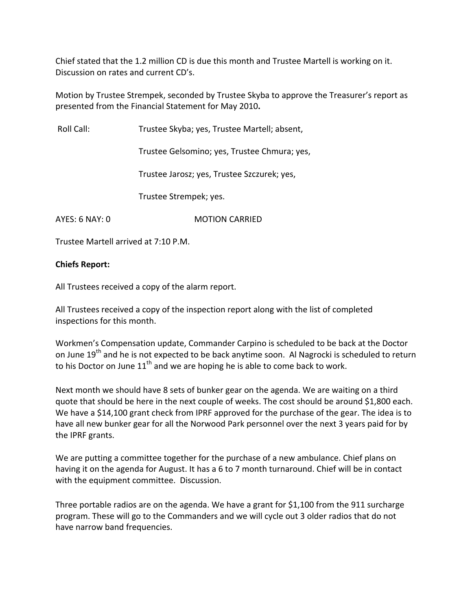Chief stated that the 1.2 million CD is due this month and Trustee Martell is working on it. Discussion on rates and current CD's.

Motion by Trustee Strempek, seconded by Trustee Skyba to approve the Treasurer's report as presented from the Financial Statement for May 2010**.**

Roll Call: Trustee Skyba; yes, Trustee Martell; absent,

Trustee Gelsomino; yes, Trustee Chmura; yes,

Trustee Jarosz; yes, Trustee Szczurek; yes,

Trustee Strempek; yes.

AYES: 6 NAY: 0 MOTION CARRIED

Trustee Martell arrived at 7:10 P.M.

### **Chiefs Report:**

All Trustees received a copy of the alarm report.

All Trustees received a copy of the inspection report along with the list of completed inspections for this month.

Workmen's Compensation update, Commander Carpino is scheduled to be back at the Doctor on June 19<sup>th</sup> and he is not expected to be back anytime soon. Al Nagrocki is scheduled to return to his Doctor on June  $11<sup>th</sup>$  and we are hoping he is able to come back to work.

Next month we should have 8 sets of bunker gear on the agenda. We are waiting on a third quote that should be here in the next couple of weeks. The cost should be around \$1,800 each. We have a \$14,100 grant check from IPRF approved for the purchase of the gear. The idea is to have all new bunker gear for all the Norwood Park personnel over the next 3 years paid for by the IPRF grants.

We are putting a committee together for the purchase of a new ambulance. Chief plans on having it on the agenda for August. It has a 6 to 7 month turnaround. Chief will be in contact with the equipment committee. Discussion.

Three portable radios are on the agenda. We have a grant for \$1,100 from the 911 surcharge program. These will go to the Commanders and we will cycle out 3 older radios that do not have narrow band frequencies.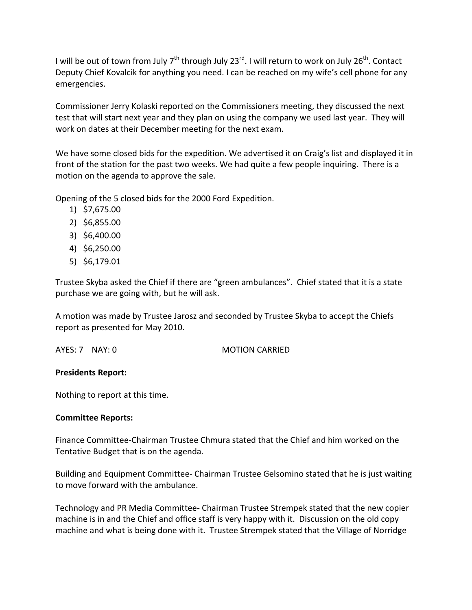I will be out of town from July 7<sup>th</sup> through July 23<sup>rd</sup>. I will return to work on July 26<sup>th</sup>. Contact Deputy Chief Kovalcik for anything you need. I can be reached on my wife's cell phone for any emergencies.

Commissioner Jerry Kolaski reported on the Commissioners meeting, they discussed the next test that will start next year and they plan on using the company we used last year. They will work on dates at their December meeting for the next exam.

We have some closed bids for the expedition. We advertised it on Craig's list and displayed it in front of the station for the past two weeks. We had quite a few people inquiring. There is a motion on the agenda to approve the sale.

Opening of the 5 closed bids for the 2000 Ford Expedition.

- 1) \$7,675.00
- 2) \$6,855.00
- 3) \$6,400.00
- 4) \$6,250.00
- 5) \$6,179.01

Trustee Skyba asked the Chief if there are "green ambulances". Chief stated that it is a state purchase we are going with, but he will ask.

A motion was made by Trustee Jarosz and seconded by Trustee Skyba to accept the Chiefs report as presented for May 2010.

AYES: 7 NAY: 0 MOTION CARRIED

### **Presidents Report:**

Nothing to report at this time.

### **Committee Reports:**

Finance Committee‐Chairman Trustee Chmura stated that the Chief and him worked on the Tentative Budget that is on the agenda.

Building and Equipment Committee‐ Chairman Trustee Gelsomino stated that he is just waiting to move forward with the ambulance.

Technology and PR Media Committee‐ Chairman Trustee Strempek stated that the new copier machine is in and the Chief and office staff is very happy with it. Discussion on the old copy machine and what is being done with it. Trustee Strempek stated that the Village of Norridge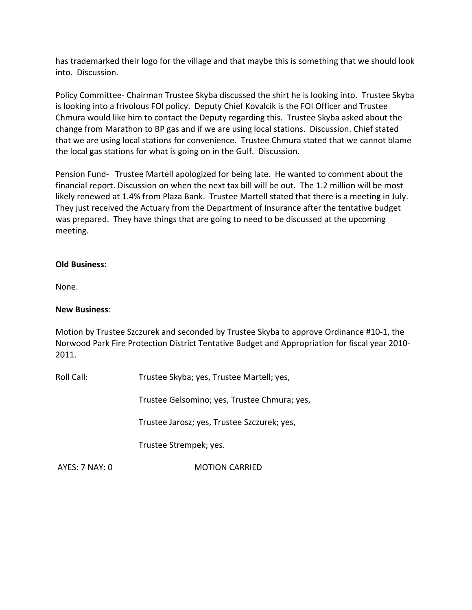has trademarked their logo for the village and that maybe this is something that we should look into. Discussion.

Policy Committee‐ Chairman Trustee Skyba discussed the shirt he is looking into. Trustee Skyba is looking into a frivolous FOI policy. Deputy Chief Kovalcik is the FOI Officer and Trustee Chmura would like him to contact the Deputy regarding this. Trustee Skyba asked about the change from Marathon to BP gas and if we are using local stations. Discussion. Chief stated that we are using local stations for convenience. Trustee Chmura stated that we cannot blame the local gas stations for what is going on in the Gulf. Discussion.

Pension Fund- Trustee Martell apologized for being late. He wanted to comment about the financial report. Discussion on when the next tax bill will be out. The 1.2 million will be most likely renewed at 1.4% from Plaza Bank. Trustee Martell stated that there is a meeting in July. They just received the Actuary from the Department of Insurance after the tentative budget was prepared. They have things that are going to need to be discussed at the upcoming meeting.

# **Old Business:**

None.

### **New Business**:

Motion by Trustee Szczurek and seconded by Trustee Skyba to approve Ordinance #10‐1, the Norwood Park Fire Protection District Tentative Budget and Appropriation for fiscal year 2010‐ 2011.

Roll Call: Trustee Skyba; yes, Trustee Martell; yes,

Trustee Gelsomino; yes, Trustee Chmura; yes,

Trustee Jarosz; yes, Trustee Szczurek; yes,

Trustee Strempek; yes.

AYES: 7 NAY: 0 **MOTION CARRIED**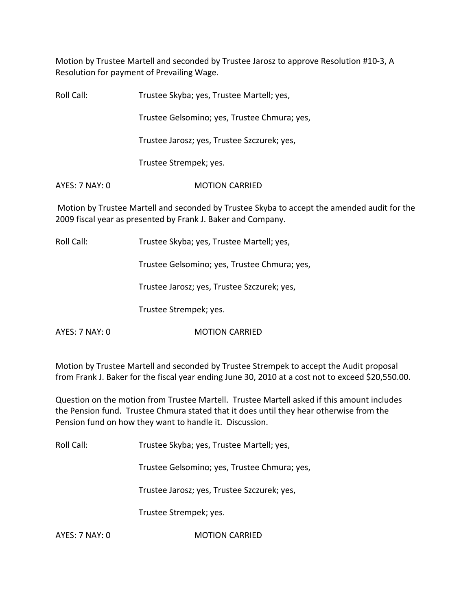Motion by Trustee Martell and seconded by Trustee Jarosz to approve Resolution #10‐3, A Resolution for payment of Prevailing Wage.

| Roll Call:     | Trustee Skyba; yes, Trustee Martell; yes,                                                                                                                   |
|----------------|-------------------------------------------------------------------------------------------------------------------------------------------------------------|
|                | Trustee Gelsomino; yes, Trustee Chmura; yes,                                                                                                                |
|                | Trustee Jarosz; yes, Trustee Szczurek; yes,                                                                                                                 |
|                | Trustee Strempek; yes.                                                                                                                                      |
| AYES: 7 NAY: 0 | <b>MOTION CARRIED</b>                                                                                                                                       |
|                | Motion by Trustee Martell and seconded by Trustee Skyba to accept the amended audit for the<br>2009 fiscal year as presented by Frank J. Baker and Company. |
| Roll Call:     | Trustee Skyba; yes, Trustee Martell; yes,                                                                                                                   |
|                | Trustee Gelsomino; yes, Trustee Chmura; yes,                                                                                                                |
|                | Trustee Jarosz; yes, Trustee Szczurek; yes,                                                                                                                 |
|                | Trustee Strempek; yes.                                                                                                                                      |

AYES: 7 NAY: 0 **MOTION CARRIED** 

Motion by Trustee Martell and seconded by Trustee Strempek to accept the Audit proposal from Frank J. Baker for the fiscal year ending June 30, 2010 at a cost not to exceed \$20,550.00.

Question on the motion from Trustee Martell. Trustee Martell asked if this amount includes the Pension fund. Trustee Chmura stated that it does until they hear otherwise from the Pension fund on how they want to handle it. Discussion.

Roll Call: Trustee Skyba; yes, Trustee Martell; yes,

Trustee Gelsomino; yes, Trustee Chmura; yes,

Trustee Jarosz; yes, Trustee Szczurek; yes,

Trustee Strempek; yes.

AYES: 7 NAY: 0 **MOTION CARRIED**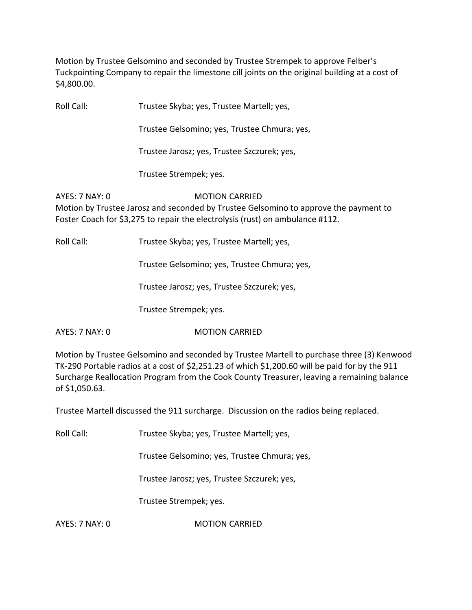Motion by Trustee Gelsomino and seconded by Trustee Strempek to approve Felber's Tuckpointing Company to repair the limestone cill joints on the original building at a cost of \$4,800.00.

Roll Call: Trustee Skyba; yes, Trustee Martell; yes,

Trustee Gelsomino; yes, Trustee Chmura; yes,

Trustee Jarosz; yes, Trustee Szczurek; yes,

Trustee Strempek; yes.

AYES: 7 NAY: 0 **MOTION CARRIED** Motion by Trustee Jarosz and seconded by Trustee Gelsomino to approve the payment to Foster Coach for \$3,275 to repair the electrolysis (rust) on ambulance #112.

Roll Call: Trustee Skyba; yes, Trustee Martell; yes,

Trustee Gelsomino; yes, Trustee Chmura; yes,

Trustee Jarosz; yes, Trustee Szczurek; yes,

Trustee Strempek; yes.

AYES: 7 NAY: 0 **MOTION CARRIED** 

Motion by Trustee Gelsomino and seconded by Trustee Martell to purchase three (3) Kenwood TK‐290 Portable radios at a cost of \$2,251.23 of which \$1,200.60 will be paid for by the 911 Surcharge Reallocation Program from the Cook County Treasurer, leaving a remaining balance of \$1,050.63.

Trustee Martell discussed the 911 surcharge. Discussion on the radios being replaced.

Roll Call: Trustee Skyba; yes, Trustee Martell; yes,

Trustee Gelsomino; yes, Trustee Chmura; yes,

Trustee Jarosz; yes, Trustee Szczurek; yes,

Trustee Strempek; yes.

AYES: 7 NAY: 0 **MOTION CARRIED**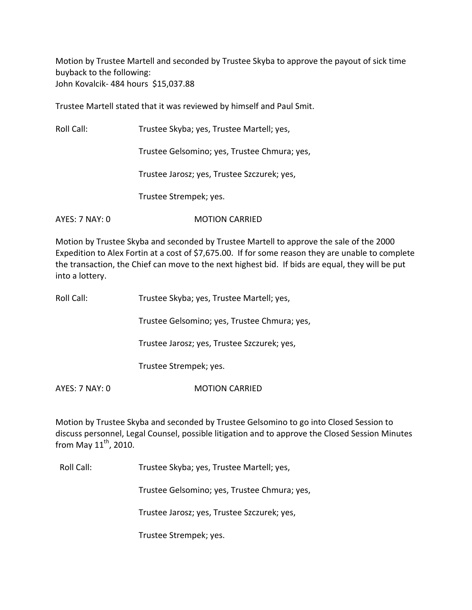Motion by Trustee Martell and seconded by Trustee Skyba to approve the payout of sick time buyback to the following: John Kovalcik‐ 484 hours \$15,037.88

Trustee Martell stated that it was reviewed by himself and Paul Smit.

Roll Call: Trustee Skyba; yes, Trustee Martell; yes,

Trustee Gelsomino; yes, Trustee Chmura; yes,

Trustee Jarosz; yes, Trustee Szczurek; yes,

Trustee Strempek; yes.

AYES: 7 NAY: 0 MOTION CARRIED

Motion by Trustee Skyba and seconded by Trustee Martell to approve the sale of the 2000 Expedition to Alex Fortin at a cost of \$7,675.00. If for some reason they are unable to complete the transaction, the Chief can move to the next highest bid. If bids are equal, they will be put into a lottery.

| Roll Call: | Trustee Skyba; yes, Trustee Martell; yes, |
|------------|-------------------------------------------|
|            |                                           |

Trustee Gelsomino; yes, Trustee Chmura; yes,

Trustee Jarosz; yes, Trustee Szczurek; yes,

Trustee Strempek; yes.

AYES: 7 NAY: 0 MOTION CARRIED

Motion by Trustee Skyba and seconded by Trustee Gelsomino to go into Closed Session to discuss personnel, Legal Counsel, possible litigation and to approve the Closed Session Minutes from May  $11^{\text{th}}$ , 2010.

Roll Call: Trustee Skyba; yes, Trustee Martell; yes,

Trustee Gelsomino; yes, Trustee Chmura; yes,

Trustee Jarosz; yes, Trustee Szczurek; yes,

Trustee Strempek; yes.